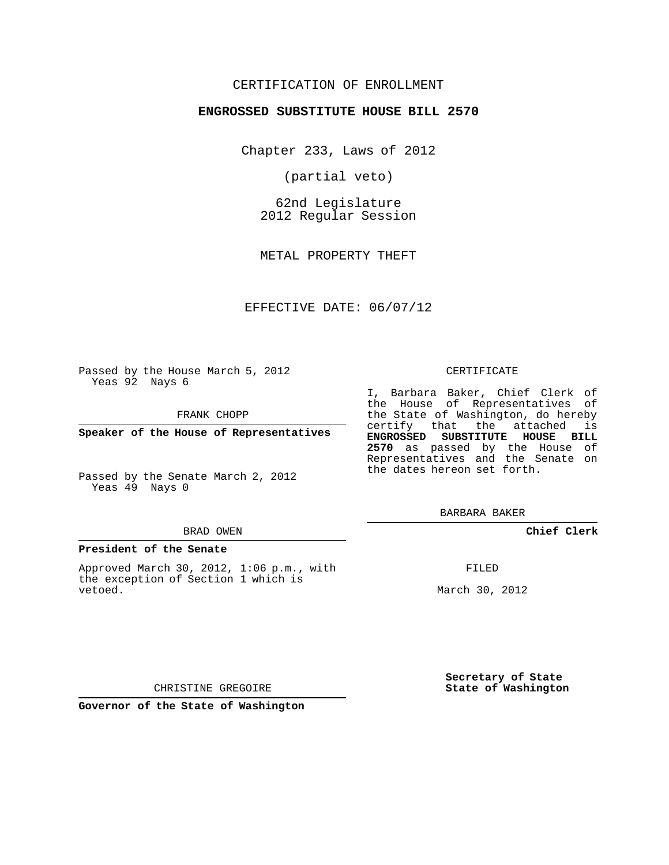## CERTIFICATION OF ENROLLMENT

### **ENGROSSED SUBSTITUTE HOUSE BILL 2570**

Chapter 233, Laws of 2012

(partial veto)

62nd Legislature 2012 Regular Session

METAL PROPERTY THEFT

EFFECTIVE DATE: 06/07/12

Passed by the House March 5, 2012 Yeas 92 Nays 6

FRANK CHOPP

**Speaker of the House of Representatives**

Passed by the Senate March 2, 2012 Yeas 49 Nays 0

#### BRAD OWEN

#### **President of the Senate**

Approved March 30, 2012, 1:06 p.m., with the exception of Section 1 which is vetoed.

#### CERTIFICATE

I, Barbara Baker, Chief Clerk of the House of Representatives of the State of Washington, do hereby certify that the attached is **ENGROSSED SUBSTITUTE HOUSE BILL 2570** as passed by the House of Representatives and the Senate on the dates hereon set forth.

BARBARA BAKER

**Chief Clerk**

FILED

March 30, 2012

**Secretary of State State of Washington**

CHRISTINE GREGOIRE

**Governor of the State of Washington**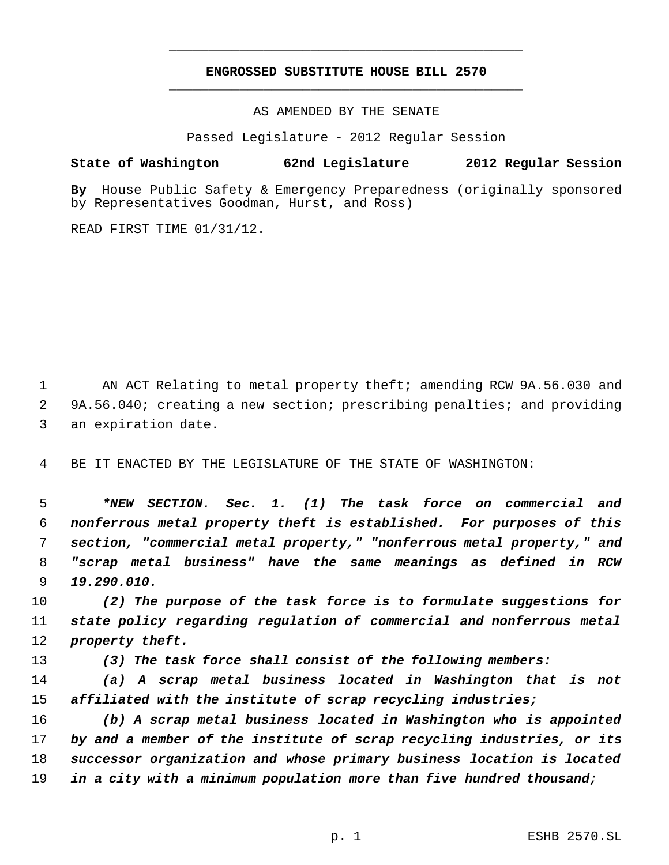# **ENGROSSED SUBSTITUTE HOUSE BILL 2570** \_\_\_\_\_\_\_\_\_\_\_\_\_\_\_\_\_\_\_\_\_\_\_\_\_\_\_\_\_\_\_\_\_\_\_\_\_\_\_\_\_\_\_\_\_

\_\_\_\_\_\_\_\_\_\_\_\_\_\_\_\_\_\_\_\_\_\_\_\_\_\_\_\_\_\_\_\_\_\_\_\_\_\_\_\_\_\_\_\_\_

AS AMENDED BY THE SENATE

Passed Legislature - 2012 Regular Session

## **State of Washington 62nd Legislature 2012 Regular Session**

**By** House Public Safety & Emergency Preparedness (originally sponsored by Representatives Goodman, Hurst, and Ross)

READ FIRST TIME 01/31/12.

1 AN ACT Relating to metal property theft; amending RCW 9A.56.030 and 9A.56.040; creating a new section; prescribing penalties; and providing an expiration date.

BE IT ENACTED BY THE LEGISLATURE OF THE STATE OF WASHINGTON:

 *\*NEW SECTION. Sec. 1. (1) The task force on commercial and nonferrous metal property theft is established. For purposes of this section, "commercial metal property," "nonferrous metal property," and "scrap metal business" have the same meanings as defined in RCW 19.290.010.*

 *(2) The purpose of the task force is to formulate suggestions for state policy regarding regulation of commercial and nonferrous metal property theft.*

*(3) The task force shall consist of the following members:*

 *(a) A scrap metal business located in Washington that is not affiliated with the institute of scrap recycling industries;*

 *(b) A scrap metal business located in Washington who is appointed by and a member of the institute of scrap recycling industries, or its successor organization and whose primary business location is located in a city with a minimum population more than five hundred thousand;*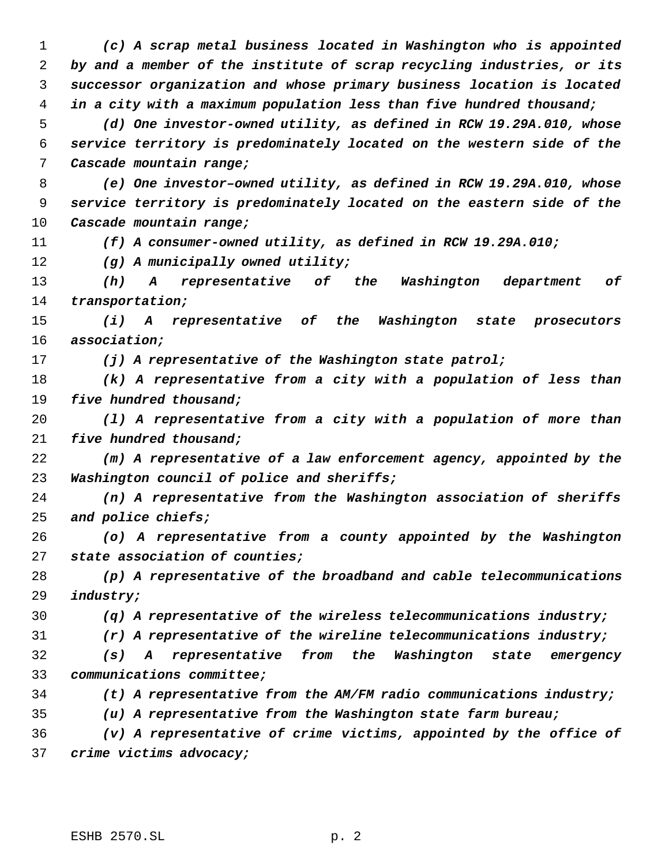*(c) A scrap metal business located in Washington who is appointed by and a member of the institute of scrap recycling industries, or its successor organization and whose primary business location is located in a city with a maximum population less than five hundred thousand; (d) One investor-owned utility, as defined in RCW 19.29A.010, whose service territory is predominately located on the western side of the Cascade mountain range; (e) One investor–owned utility, as defined in RCW 19.29A.010, whose service territory is predominately located on the eastern side of the Cascade mountain range; (f) A consumer-owned utility, as defined in RCW 19.29A.010; (g) A municipally owned utility; (h) A representative of the Washington department of transportation; (i) A representative of the Washington state prosecutors association; (j) A representative of the Washington state patrol; (k) A representative from a city with a population of less than five hundred thousand; (l) A representative from a city with a population of more than five hundred thousand; (m) A representative of a law enforcement agency, appointed by the Washington council of police and sheriffs; (n) A representative from the Washington association of sheriffs and police chiefs; (o) A representative from a county appointed by the Washington state association of counties; (p) A representative of the broadband and cable telecommunications industry; (q) A representative of the wireless telecommunications industry; (r) A representative of the wireline telecommunications industry; (s) A representative from the Washington state emergency communications committee; (t) A representative from the AM/FM radio communications industry; (u) A representative from the Washington state farm bureau; (v) A representative of crime victims, appointed by the office of crime victims advocacy;*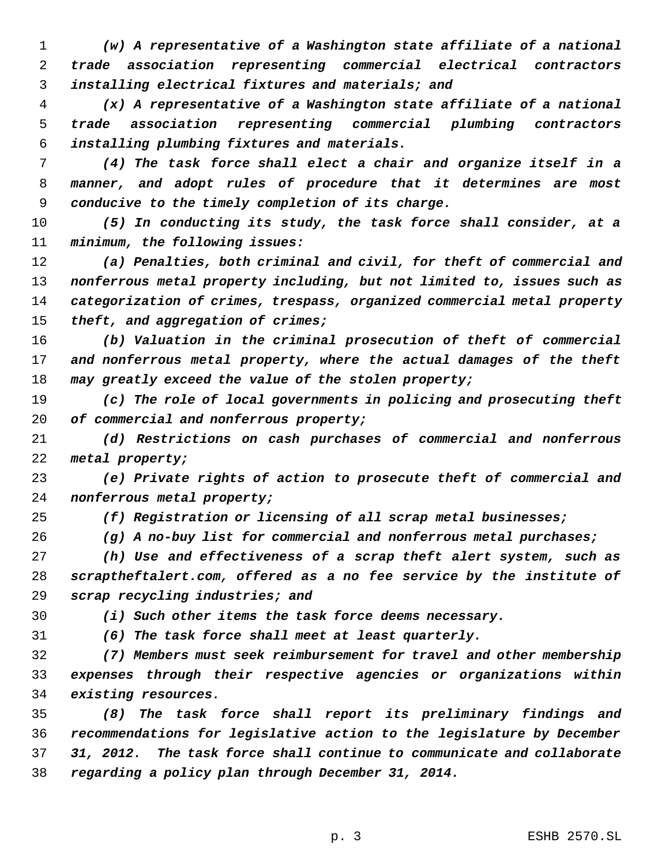*(w) A representative of a Washington state affiliate of a national trade association representing commercial electrical contractors installing electrical fixtures and materials; and*

 *(x) A representative of a Washington state affiliate of a national trade association representing commercial plumbing contractors installing plumbing fixtures and materials.*

 *(4) The task force shall elect a chair and organize itself in a manner, and adopt rules of procedure that it determines are most conducive to the timely completion of its charge.*

 *(5) In conducting its study, the task force shall consider, at a minimum, the following issues:*

 *(a) Penalties, both criminal and civil, for theft of commercial and nonferrous metal property including, but not limited to, issues such as categorization of crimes, trespass, organized commercial metal property theft, and aggregation of crimes;*

 *(b) Valuation in the criminal prosecution of theft of commercial and nonferrous metal property, where the actual damages of the theft may greatly exceed the value of the stolen property;*

 *(c) The role of local governments in policing and prosecuting theft of commercial and nonferrous property;*

 *(d) Restrictions on cash purchases of commercial and nonferrous metal property;*

 *(e) Private rights of action to prosecute theft of commercial and nonferrous metal property;*

*(f) Registration or licensing of all scrap metal businesses;*

*(g) A no-buy list for commercial and nonferrous metal purchases;*

 *(h) Use and effectiveness of a scrap theft alert system, such as scraptheftalert.com, offered as a no fee service by the institute of scrap recycling industries; and*

*(i) Such other items the task force deems necessary.*

*(6) The task force shall meet at least quarterly.*

 *(7) Members must seek reimbursement for travel and other membership expenses through their respective agencies or organizations within existing resources.*

 *(8) The task force shall report its preliminary findings and recommendations for legislative action to the legislature by December 31, 2012. The task force shall continue to communicate and collaborate regarding a policy plan through December 31, 2014.*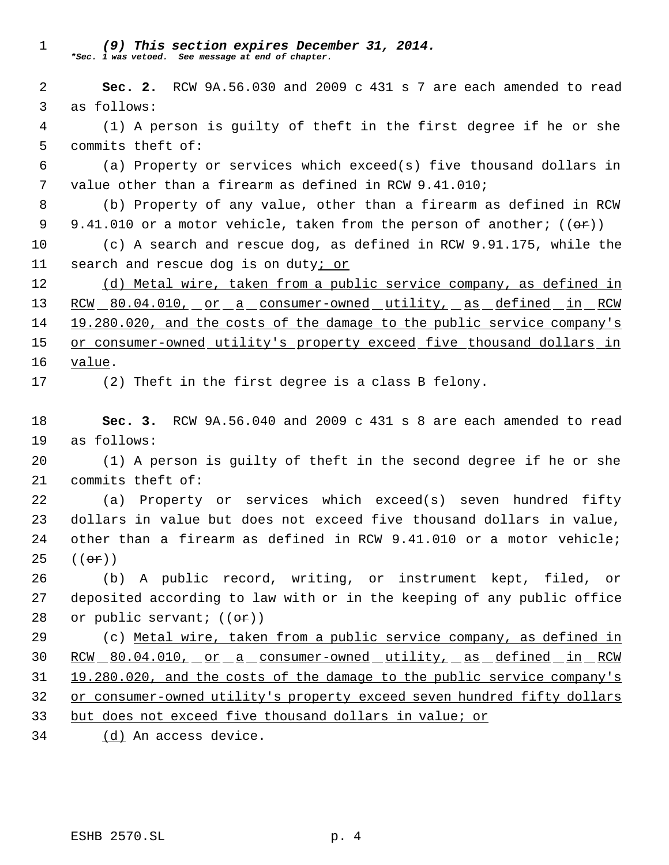*(9) This section expires December 31, 2014. \*Sec. 1 was vetoed. See message at end of chapter.*

 **Sec. 2.** RCW 9A.56.030 and 2009 c 431 s 7 are each amended to read as follows:

 (1) A person is guilty of theft in the first degree if he or she commits theft of:

 (a) Property or services which exceed(s) five thousand dollars in value other than a firearm as defined in RCW 9.41.010;

 (b) Property of any value, other than a firearm as defined in RCW 9 9.41.010 or a motor vehicle, taken from the person of another;  $((\theta \cdot \hat{r}))$ 

 (c) A search and rescue dog, as defined in RCW 9.91.175, while the search and rescue dog is on duty; or

 (d) Metal wire, taken from a public service company, as defined in 13 RCW 80.04.010, or a consumer-owned utility, as defined in RCW 19.280.020, and the costs of the damage to the public service company's or consumer-owned utility's property exceed five thousand dollars in value.

(2) Theft in the first degree is a class B felony.

 **Sec. 3.** RCW 9A.56.040 and 2009 c 431 s 8 are each amended to read as follows:

 (1) A person is guilty of theft in the second degree if he or she commits theft of:

 (a) Property or services which exceed(s) seven hundred fifty dollars in value but does not exceed five thousand dollars in value, other than a firearm as defined in RCW 9.41.010 or a motor vehicle; (( $\Theta$  $\hat{r}$ ))

 (b) A public record, writing, or instrument kept, filed, or deposited according to law with or in the keeping of any public office 28 or public servant;  $((\theta \cdot \mathbf{r}))$ 

 (c) Metal wire, taken from a public service company, as defined in RCW 80.04.010, or a consumer-owned utility, as defined in RCW 19.280.020, and the costs of the damage to the public service company's or consumer-owned utility's property exceed seven hundred fifty dollars but does not exceed five thousand dollars in value; or

(d) An access device.